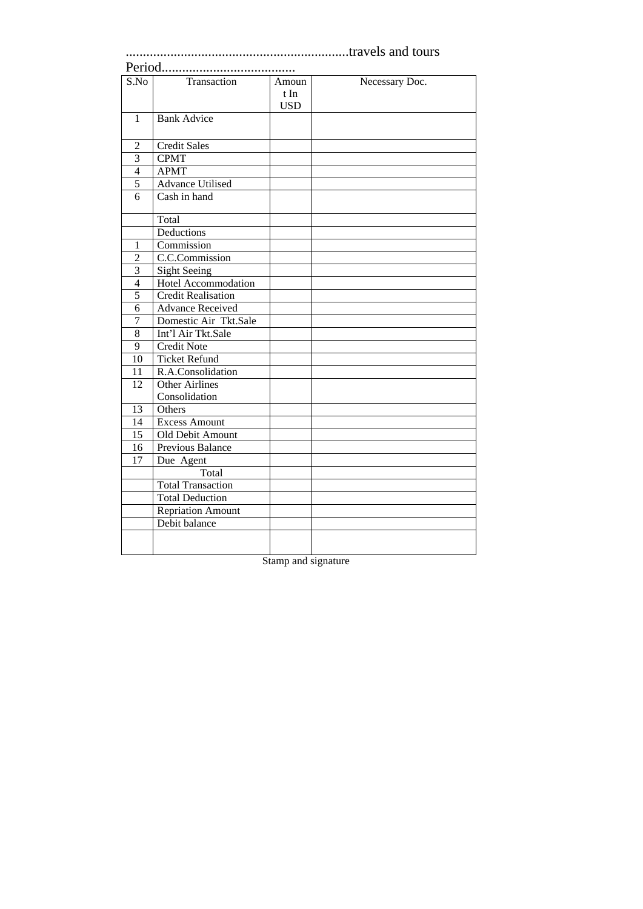## .................................................................travels and tours

# Period.......................................

| S.No           | Transaction               | Amoun      | Necessary Doc. |
|----------------|---------------------------|------------|----------------|
|                |                           | t In       |                |
|                |                           | <b>USD</b> |                |
| $\mathbf{1}$   | <b>Bank Advice</b>        |            |                |
|                |                           |            |                |
| $\overline{2}$ | <b>Credit Sales</b>       |            |                |
| 3              | <b>CPMT</b>               |            |                |
| $\overline{4}$ | <b>APMT</b>               |            |                |
| 5              | <b>Advance Utilised</b>   |            |                |
| 6              | Cash in hand              |            |                |
|                | Total                     |            |                |
|                | Deductions                |            |                |
| $\mathbf{1}$   | Commission                |            |                |
| $\overline{2}$ | C.C.Commission            |            |                |
| $\overline{3}$ | <b>Sight Seeing</b>       |            |                |
| $\overline{4}$ | Hotel Accommodation       |            |                |
| 5              | <b>Credit Realisation</b> |            |                |
| 6              | <b>Advance Received</b>   |            |                |
| 7              | Domestic Air Tkt.Sale     |            |                |
| 8              | Int'l Air Tkt.Sale        |            |                |
| 9              | <b>Credit Note</b>        |            |                |
| 10             | <b>Ticket Refund</b>      |            |                |
| 11             | R.A.Consolidation         |            |                |
| 12             | <b>Other Airlines</b>     |            |                |
|                | Consolidation             |            |                |
| 13             | Others                    |            |                |
| 14             | <b>Excess Amount</b>      |            |                |
| 15             | Old Debit Amount          |            |                |
| 16             | <b>Previous Balance</b>   |            |                |
| 17             | Due Agent                 |            |                |
|                | Total                     |            |                |
|                | <b>Total Transaction</b>  |            |                |
|                | <b>Total Deduction</b>    |            |                |
|                | <b>Repriation Amount</b>  |            |                |
|                | Debit balance             |            |                |
|                |                           |            |                |
|                |                           |            |                |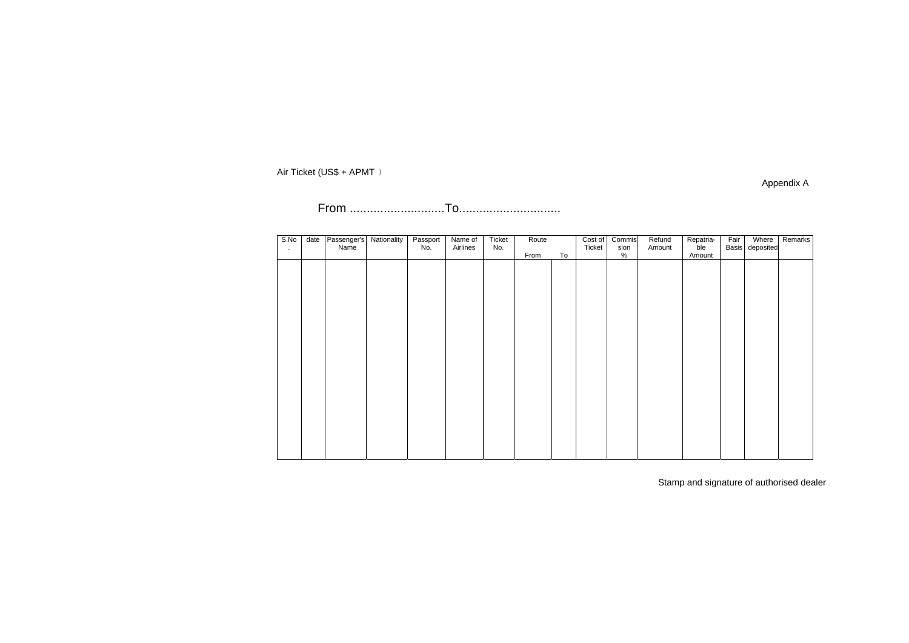Appendix A

From ............................To..............................

| S.No<br>$\sim$ | date | Passenger's<br>Name | Nationality | Passport<br>No. | Name of<br>Airlines | Ticket<br>No. | Route |    | Cost of<br>Ticket | Commis<br>sion | Refund<br>Amount | Repatria-<br>ble | Fair | Where<br>Basis deposited | Remarks |
|----------------|------|---------------------|-------------|-----------------|---------------------|---------------|-------|----|-------------------|----------------|------------------|------------------|------|--------------------------|---------|
|                |      |                     |             |                 |                     |               | From  | To |                   | %              |                  | Amount           |      |                          |         |
|                |      |                     |             |                 |                     |               |       |    |                   |                |                  |                  |      |                          |         |
|                |      |                     |             |                 |                     |               |       |    |                   |                |                  |                  |      |                          |         |
|                |      |                     |             |                 |                     |               |       |    |                   |                |                  |                  |      |                          |         |
|                |      |                     |             |                 |                     |               |       |    |                   |                |                  |                  |      |                          |         |
|                |      |                     |             |                 |                     |               |       |    |                   |                |                  |                  |      |                          |         |
|                |      |                     |             |                 |                     |               |       |    |                   |                |                  |                  |      |                          |         |
|                |      |                     |             |                 |                     |               |       |    |                   |                |                  |                  |      |                          |         |
|                |      |                     |             |                 |                     |               |       |    |                   |                |                  |                  |      |                          |         |
|                |      |                     |             |                 |                     |               |       |    |                   |                |                  |                  |      |                          |         |
|                |      |                     |             |                 |                     |               |       |    |                   |                |                  |                  |      |                          |         |
|                |      |                     |             |                 |                     |               |       |    |                   |                |                  |                  |      |                          |         |
|                |      |                     |             |                 |                     |               |       |    |                   |                |                  |                  |      |                          |         |
|                |      |                     |             |                 |                     |               |       |    |                   |                |                  |                  |      |                          |         |
|                |      |                     |             |                 |                     |               |       |    |                   |                |                  |                  |      |                          |         |
|                |      |                     |             |                 |                     |               |       |    |                   |                |                  |                  |      |                          |         |
|                |      |                     |             |                 |                     |               |       |    |                   |                |                  |                  |      |                          |         |
|                |      |                     |             |                 |                     |               |       |    |                   |                |                  |                  |      |                          |         |
|                |      |                     |             |                 |                     |               |       |    |                   |                |                  |                  |      |                          |         |
|                |      |                     |             |                 |                     |               |       |    |                   |                |                  |                  |      |                          |         |
|                |      |                     |             |                 |                     |               |       |    |                   |                |                  |                  |      |                          |         |
|                |      |                     |             |                 |                     |               |       |    |                   |                |                  |                  |      |                          |         |
|                |      |                     |             |                 |                     |               |       |    |                   |                |                  |                  |      |                          |         |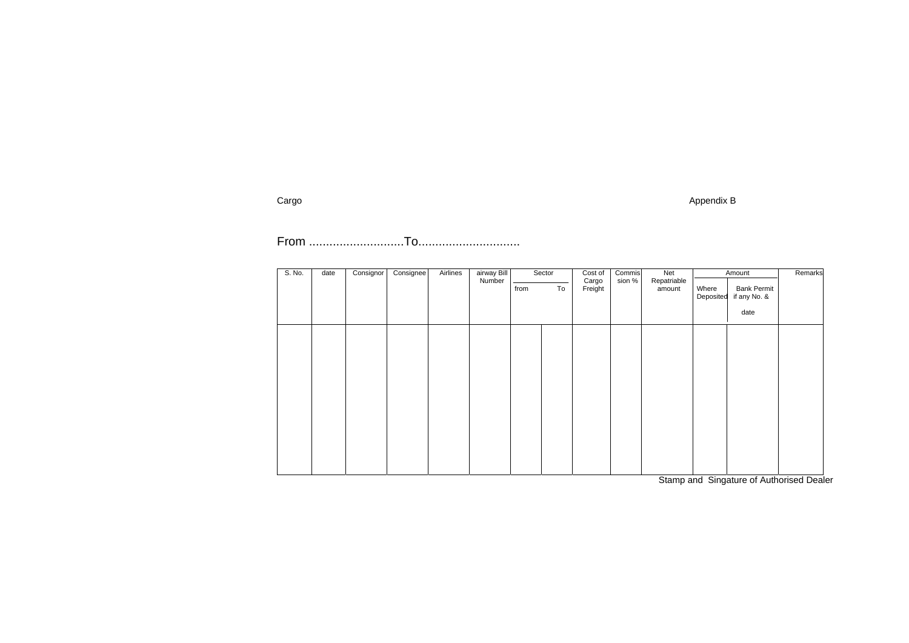### Appendix B

| S. No. | date |                | airway Bill<br>Airlines<br>Sector<br>Consignor<br>Consignee |    |                  | Cost of                         | Commis | Net |                                                         | Remarks<br>Amount |  |  |
|--------|------|----------------|-------------------------------------------------------------|----|------------------|---------------------------------|--------|-----|---------------------------------------------------------|-------------------|--|--|
|        |      | Number<br>from |                                                             | To | Cargo<br>Freight | Repatriable<br>sion %<br>amount |        |     | <b>Bank Permit</b><br>if any No. &<br>Deposited<br>date |                   |  |  |
|        |      |                |                                                             |    |                  |                                 |        |     |                                                         |                   |  |  |
|        |      |                |                                                             |    |                  |                                 |        |     |                                                         |                   |  |  |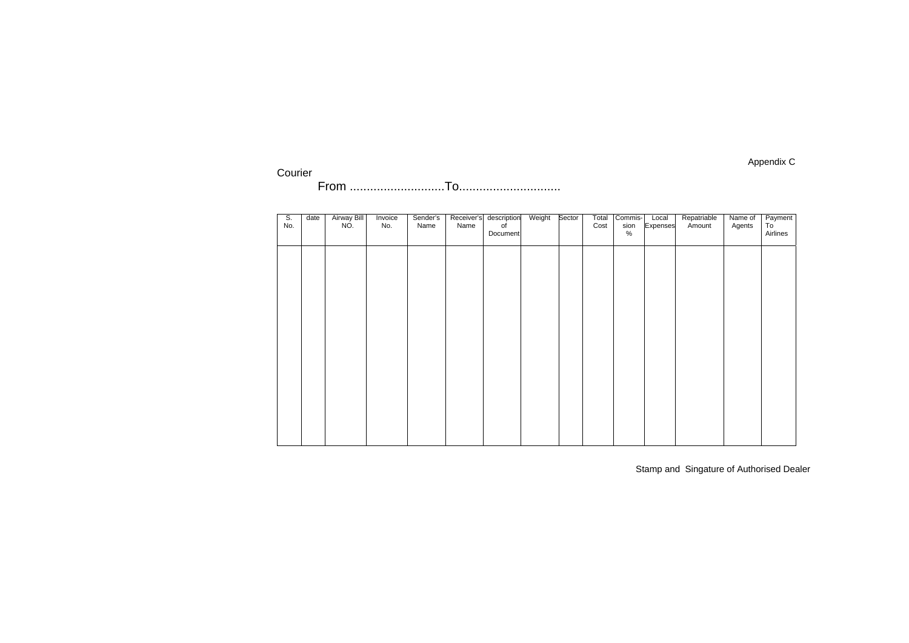## Courier From ............................To..............................

| $\overline{\mathsf{S}}$ .<br>No. | date | <b>Airway Bill</b><br>NO. | Invoice<br>No. | Sender's<br>Name | Receiver's<br>Name | description<br>of<br>Document | Weight | Sector | Total<br>Cost | Commis-<br>sion<br>$\%$ | Local<br>Expenses | Repatriable<br>Amount | Name of<br>Agents | Payment<br>To<br>Airlines |
|----------------------------------|------|---------------------------|----------------|------------------|--------------------|-------------------------------|--------|--------|---------------|-------------------------|-------------------|-----------------------|-------------------|---------------------------|
|                                  |      |                           |                |                  |                    |                               |        |        |               |                         |                   |                       |                   |                           |
|                                  |      |                           |                |                  |                    |                               |        |        |               |                         |                   |                       |                   |                           |
|                                  |      |                           |                |                  |                    |                               |        |        |               |                         |                   |                       |                   |                           |
|                                  |      |                           |                |                  |                    |                               |        |        |               |                         |                   |                       |                   |                           |
|                                  |      |                           |                |                  |                    |                               |        |        |               |                         |                   |                       |                   |                           |
|                                  |      |                           |                |                  |                    |                               |        |        |               |                         |                   |                       |                   |                           |
|                                  |      |                           |                |                  |                    |                               |        |        |               |                         |                   |                       |                   |                           |

Stamp and Singature of Authorised Dealer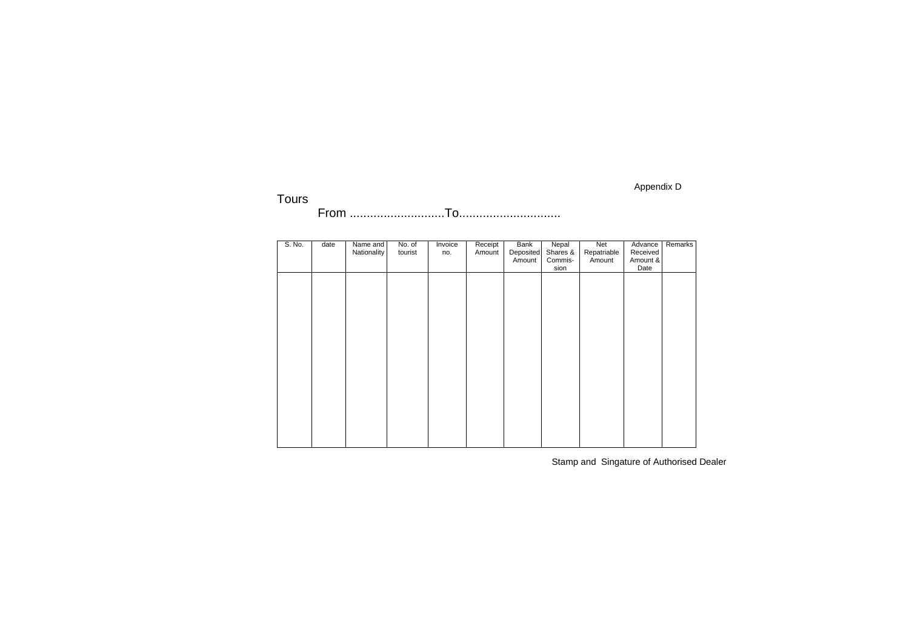## Tours From ............................To..............................

| S. No. | date | Name and    | No. of  | Invoice | Receipt | <b>Bank</b> | Nepal    | Net         | Advance  | Remarks |
|--------|------|-------------|---------|---------|---------|-------------|----------|-------------|----------|---------|
|        |      | Nationality | tourist | no.     | Amount  | Deposited   | Shares & | Repatriable | Received |         |
|        |      |             |         |         |         | Amount      | Commis-  | Amount      | Amount & |         |
|        |      |             |         |         |         |             | sion     |             | Date     |         |
|        |      |             |         |         |         |             |          |             |          |         |
|        |      |             |         |         |         |             |          |             |          |         |
|        |      |             |         |         |         |             |          |             |          |         |
|        |      |             |         |         |         |             |          |             |          |         |
|        |      |             |         |         |         |             |          |             |          |         |
|        |      |             |         |         |         |             |          |             |          |         |
|        |      |             |         |         |         |             |          |             |          |         |
|        |      |             |         |         |         |             |          |             |          |         |
|        |      |             |         |         |         |             |          |             |          |         |
|        |      |             |         |         |         |             |          |             |          |         |
|        |      |             |         |         |         |             |          |             |          |         |
|        |      |             |         |         |         |             |          |             |          |         |
|        |      |             |         |         |         |             |          |             |          |         |
|        |      |             |         |         |         |             |          |             |          |         |
|        |      |             |         |         |         |             |          |             |          |         |
|        |      |             |         |         |         |             |          |             |          |         |
|        |      |             |         |         |         |             |          |             |          |         |
|        |      |             |         |         |         |             |          |             |          |         |
|        |      |             |         |         |         |             |          |             |          |         |
|        |      |             |         |         |         |             |          |             |          |         |
|        |      |             |         |         |         |             |          |             |          |         |

Stamp and Singature of Authorised Dealer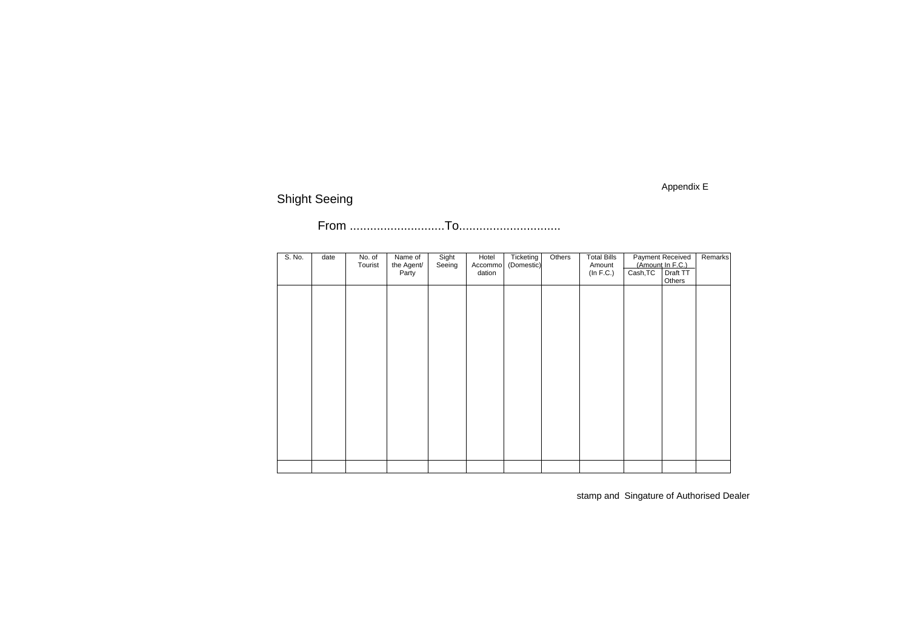### Appendix E

## Shight Seeing

## From ............................To..............................

| S. No. | date | No. of<br>Tourist | Name of<br>the Agent/<br>Party | Sight<br>Seeing | Hotel<br>Accommo<br>dation | Ticketing<br>(Domestic) | Others | <b>Total Bills</b><br>Amount<br>(In F.C.) | <b>Payment Received</b><br>(Amount In F.C.)<br>Cash, TC<br>Draft TT<br>Others |  | Remarks |
|--------|------|-------------------|--------------------------------|-----------------|----------------------------|-------------------------|--------|-------------------------------------------|-------------------------------------------------------------------------------|--|---------|
|        |      |                   |                                |                 |                            |                         |        |                                           |                                                                               |  |         |
|        |      |                   |                                |                 |                            |                         |        |                                           |                                                                               |  |         |
|        |      |                   |                                |                 |                            |                         |        |                                           |                                                                               |  |         |
|        |      |                   |                                |                 |                            |                         |        |                                           |                                                                               |  |         |
|        |      |                   |                                |                 |                            |                         |        |                                           |                                                                               |  |         |
|        |      |                   |                                |                 |                            |                         |        |                                           |                                                                               |  |         |
|        |      |                   |                                |                 |                            |                         |        |                                           |                                                                               |  |         |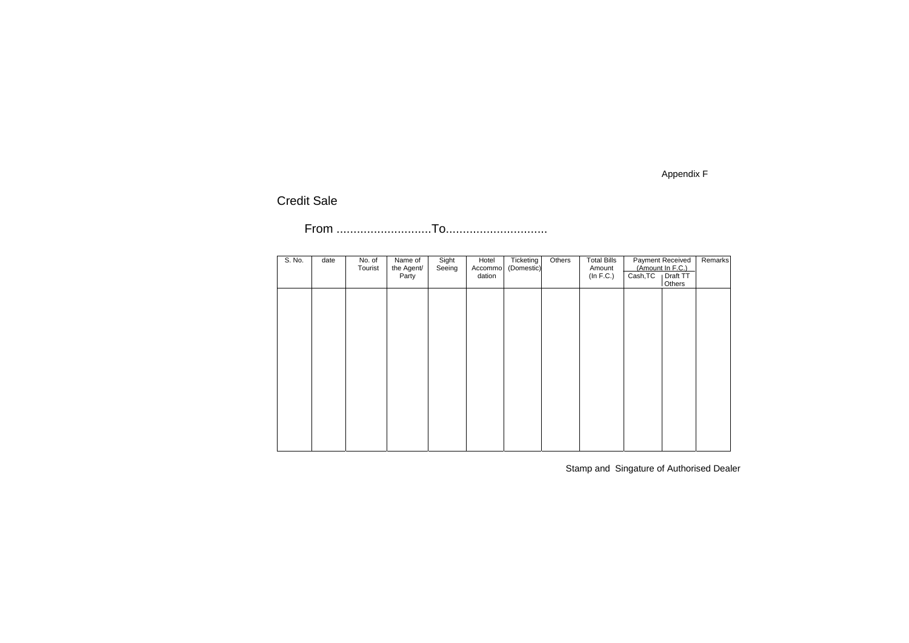Appendix F

## Credit Sale

## From ............................To..............................

| S. No. | date | No. of  | Name of    | Sight  | Hotel   | Ticketing  | Others | <b>Total Bills</b> |          | <b>Payment Received</b> | Remarks |
|--------|------|---------|------------|--------|---------|------------|--------|--------------------|----------|-------------------------|---------|
|        |      | Tourist | the Agent/ | Seeing | Accommo | (Domestic) |        | Amount             |          | (Amount In F.C.)        |         |
|        |      |         | Party      |        | dation  |            |        | (In F.C.)          | Cash, TC | Draft TT                |         |
|        |      |         |            |        |         |            |        |                    |          | Others                  |         |
|        |      |         |            |        |         |            |        |                    |          |                         |         |
|        |      |         |            |        |         |            |        |                    |          |                         |         |
|        |      |         |            |        |         |            |        |                    |          |                         |         |
|        |      |         |            |        |         |            |        |                    |          |                         |         |
|        |      |         |            |        |         |            |        |                    |          |                         |         |
|        |      |         |            |        |         |            |        |                    |          |                         |         |
|        |      |         |            |        |         |            |        |                    |          |                         |         |
|        |      |         |            |        |         |            |        |                    |          |                         |         |
|        |      |         |            |        |         |            |        |                    |          |                         |         |
|        |      |         |            |        |         |            |        |                    |          |                         |         |
|        |      |         |            |        |         |            |        |                    |          |                         |         |
|        |      |         |            |        |         |            |        |                    |          |                         |         |
|        |      |         |            |        |         |            |        |                    |          |                         |         |
|        |      |         |            |        |         |            |        |                    |          |                         |         |
|        |      |         |            |        |         |            |        |                    |          |                         |         |
|        |      |         |            |        |         |            |        |                    |          |                         |         |
|        |      |         |            |        |         |            |        |                    |          |                         |         |
|        |      |         |            |        |         |            |        |                    |          |                         |         |
|        |      |         |            |        |         |            |        |                    |          |                         |         |

Stamp and Singature of Authorised Dealer